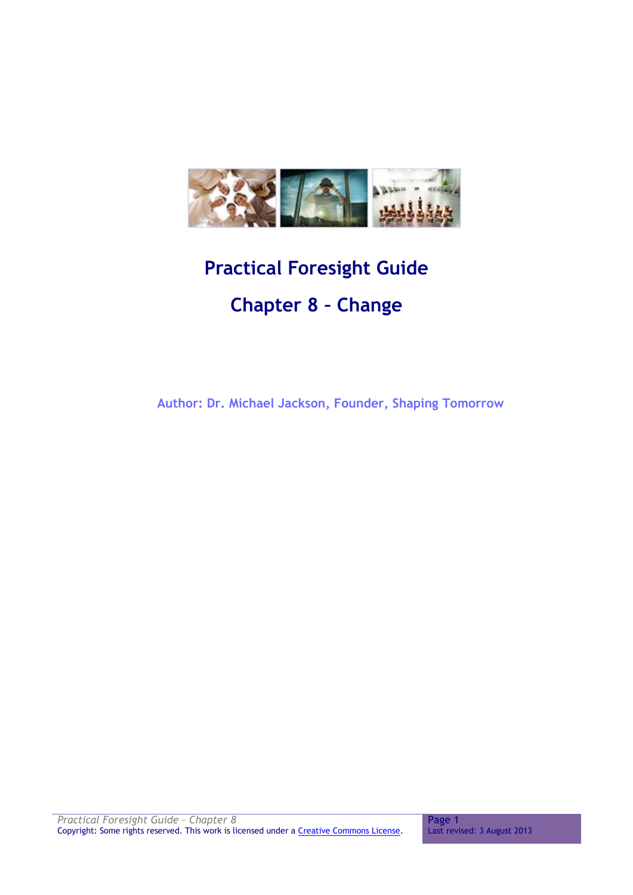

# **Practical Foresight Guide Chapter 8 – Change**

 **Author: Dr. Michael Jackson, Founder, Shaping Tomorrow**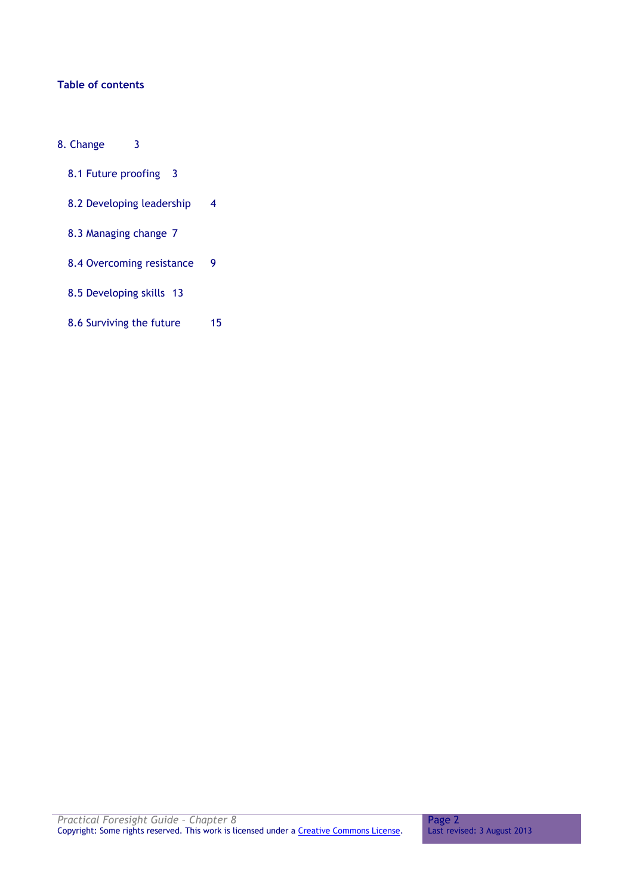# **Table of contents**

- [8. Change](#page-2-0) 3
	- [8.1 Future proofing](#page-2-1) 3
	- [8.2 Developing leadership](#page-3-0) 4
	- [8.3 Managing change](#page-6-0) 7
	- [8.4 Overcoming resistance](#page-8-0) 9
	- [8.5 Developing skills](#page-12-0) 13
	- [8.6 Surviving the future](#page-14-0) 15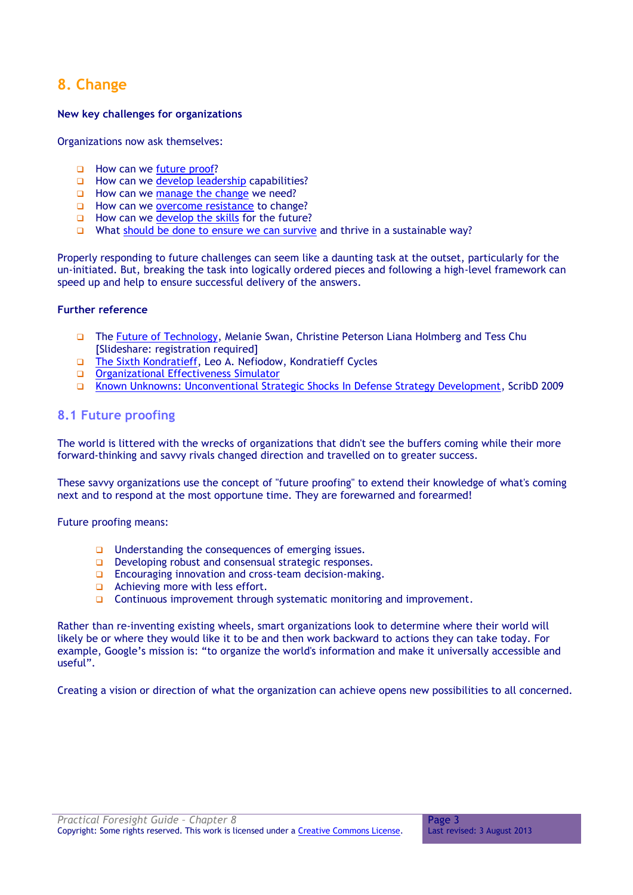# <span id="page-2-0"></span>**8. Change**

# **New key challenges for organizations**

Organizations now ask themselves:

- How can we [future proof?](http://practicalforesight.wetpaint.com/page/Future+proofing)
- $\Box$  How can we [develop leadership](http://practicalforesight.wetpaint.com/page/Developing+leadership) capabilities?
- $\Box$  How can we [manage the change](http://practicalforesight.wetpaint.com/page/Managing+change) we need?
- **How can we [overcome resistance](http://practicalforesight.wetpaint.com/page/Overcoming+resistance) to change?**
- $\Box$  How can we [develop the skills](http://practicalforesight.wetpaint.com/page/Learning+organisation) for the future?
- What [should be done to ensure we can survive](http://practicalforesight.wetpaint.com/page/Strategic+Leadership) and thrive in a sustainable way?

Properly responding to future challenges can seem like a daunting task at the outset, particularly for the un-initiated. But, breaking the task into logically ordered pieces and following a high-level framework can speed up and help to ensure successful delivery of the answers.

# **Further reference**

- The [Future of Technology,](http://www.slideshare.net/lablogga/future-of-technology) Melanie Swan, Christine Peterson Liana Holmberg and Tess Chu [Slideshare: registration required]
- The Sixth [Kondratieff,](http://www.kondratieff.net/11.html) Leo A. Nefiodow, Kondratieff Cycles
- [Organizational Effectiveness](http://www.simulator-orgeffectiveness.com/booz?profile=Overmanaged) Simulator
- [Known Unknowns: Unconventional Strategic Shocks In Defense Strategy Development,](http://www.scribd.com/doc/18002624/Known-Unknowns-Unconventional-Strategic-Shocks-in-Defense-Strategy-Development-Pub890) ScribD 2009

# <span id="page-2-1"></span>**8.1 Future proofing**

The world is littered with the wrecks of organizations that didn't see the buffers coming while their more forward-thinking and savvy rivals changed direction and travelled on to greater success.

These savvy organizations use the concept of "future proofing" to extend their knowledge of what's coming next and to respond at the most opportune time. They are forewarned and forearmed!

Future proofing means:

- $\Box$  Understanding the consequences of emerging issues.
- Developing robust and consensual strategic responses.
- **Encouraging innovation and cross-team decision-making.**
- Achieving more with less effort.
- Continuous improvement through systematic monitoring and improvement.

Rather than re-inventing existing wheels, smart organizations look to determine where their world will likely be or where they would like it to be and then work backward to actions they can take today. For example, Google's mission is: "to organize the world's information and make it universally accessible and useful".

Creating a vision or direction of what the organization can achieve opens new possibilities to all concerned.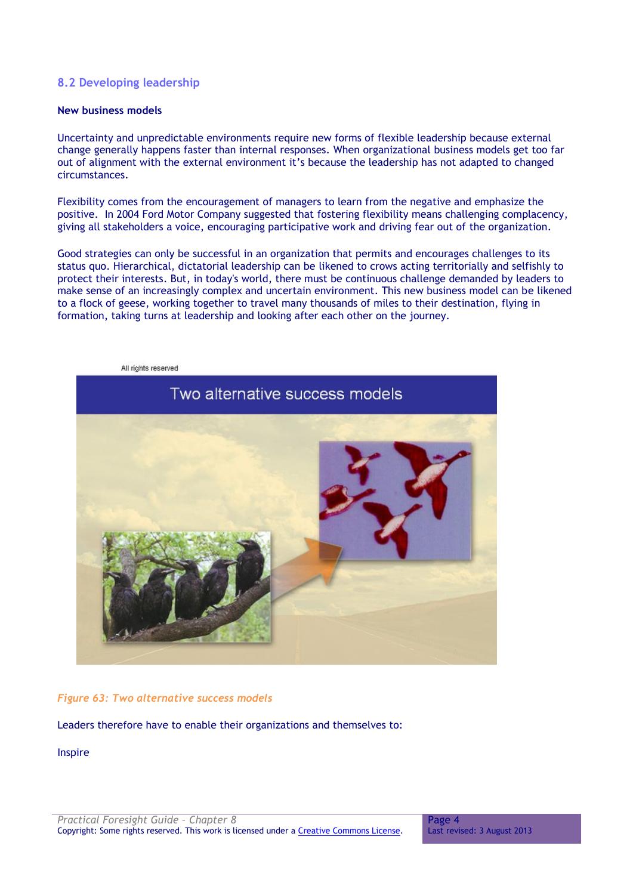# <span id="page-3-0"></span>**8.2 Developing leadership**

# **New business models**

Uncertainty and unpredictable environments require new forms of flexible leadership because external change generally happens faster than internal responses. When organizational business models get too far out of alignment with the external environment it's because the leadership has not adapted to changed circumstances.

Flexibility comes from the encouragement of managers to learn from the negative and emphasize the positive. In 2004 Ford Motor Company suggested that fostering flexibility means challenging complacency, giving all stakeholders a voice, encouraging participative work and driving fear out of the organization.

Good strategies can only be successful in an organization that permits and encourages challenges to its status quo. Hierarchical, dictatorial leadership can be likened to crows acting territorially and selfishly to protect their interests. But, in today's world, there must be continuous challenge demanded by leaders to make sense of an increasingly complex and uncertain environment. This new business model can be likened to a flock of geese, working together to travel many thousands of miles to their destination, flying in formation, taking turns at leadership and looking after each other on the journey.



#### *Figure 63: Two alternative success models*

Leaders therefore have to enable their organizations and themselves to:

Inspire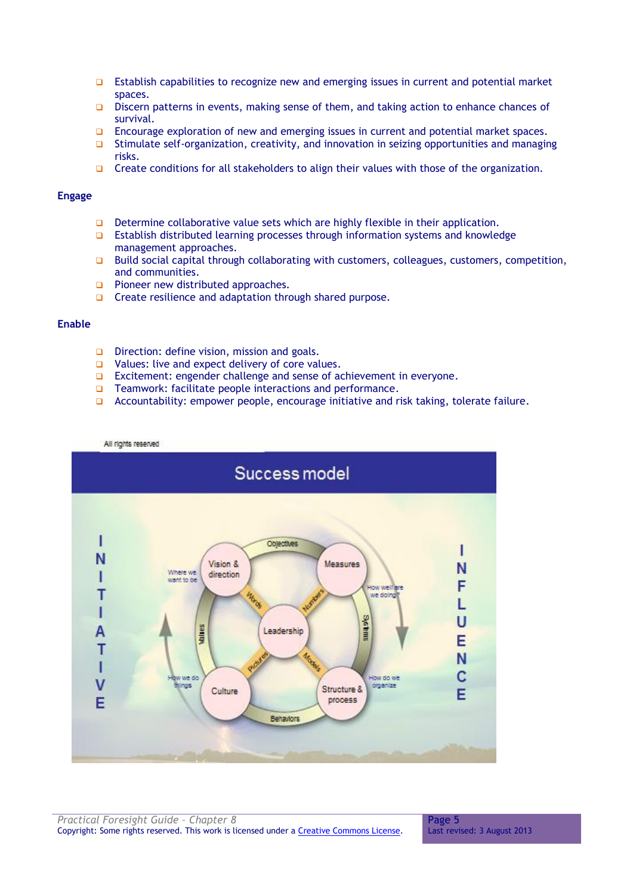- **Establish capabilities to recognize new and emerging issues in current and potential market** spaces.
- **D** Discern patterns in events, making sense of them, and taking action to enhance chances of survival.
- **Encourage exploration of new and emerging issues in current and potential market spaces.**
- $\Box$  Stimulate self-organization, creativity, and innovation in seizing opportunities and managing risks.
- Create conditions for all stakeholders to align their values with those of the organization.

#### **Engage**

- Determine collaborative value sets which are highly flexible in their application.
- **Establish distributed learning processes through information systems and knowledge** management approaches.
- $\Box$  Build social capital through collaborating with customers, colleagues, customers, competition, and communities.
- **Pioneer new distributed approaches.**
- $\Box$  Create resilience and adaptation through shared purpose.

# **Enable**

- Direction: define vision, mission and goals.
- $\Box$  Values: live and expect delivery of core values.
- □ Excitement: engender challenge and sense of achievement in everyone.
- □ Teamwork: facilitate people interactions and performance.
- □ Accountability: empower people, encourage initiative and risk taking, tolerate failure.

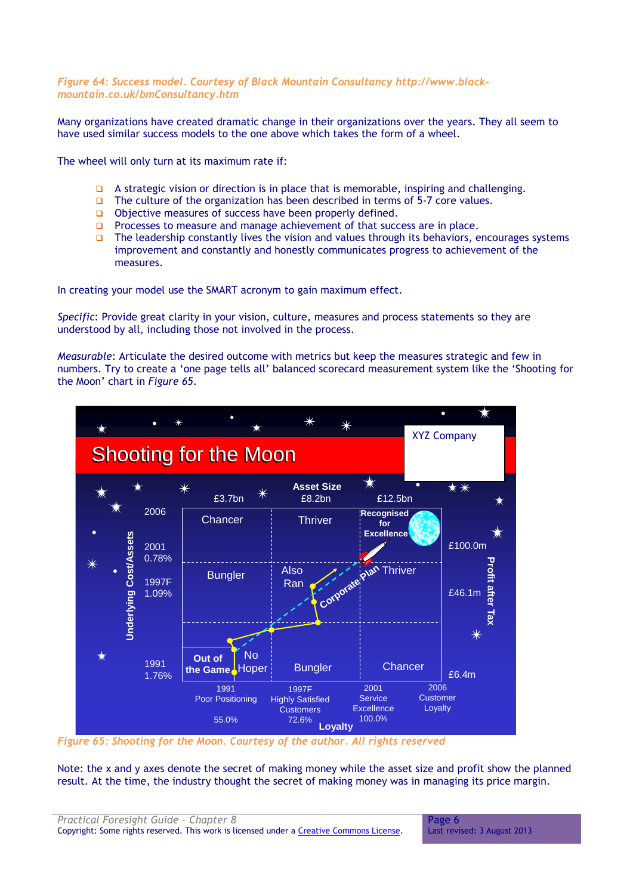#### *Figure 64: Success model. Courtesy of Black Mountain Consultancy [http://www.black](http://www.black-mountain.co.uk/bmConsultancy.htm)[mountain.co.uk/bmConsultancy.htm](http://www.black-mountain.co.uk/bmConsultancy.htm)*

Many organizations have created dramatic change in their organizations over the years. They all seem to have used similar success models to the one above which takes the form of a wheel.

The wheel will only turn at its maximum rate if:

- $\Box$  A strategic vision or direction is in place that is memorable, inspiring and challenging.
- The culture of the organization has been described in terms of 5-7 core values.
- $\Box$  Objective measures of success have been properly defined.
- **Processes to measure and manage achievement of that success are in place.**
- $\Box$  The leadership constantly lives the vision and values through its behaviors, encourages systems improvement and constantly and honestly communicates progress to achievement of the measures.

In creating your model use the SMART acronym to gain maximum effect.

*Specific*: Provide great clarity in your vision, culture, measures and process statements so they are understood by all, including those not involved in the process.

*Measurable*: Articulate the desired outcome with metrics but keep the measures strategic and few in numbers. Try to create a 'one page tells all' balanced scorecard measurement system like the 'Shooting for the Moon' chart in *Figure 65*.



*Figure 65: Shooting for the Moon. Courtesy of the author. All rights reserved*

Note: the x and y axes denote the secret of making money while the asset size and profit show the planned result. At the time, the industry thought the secret of making money was in managing its price margin.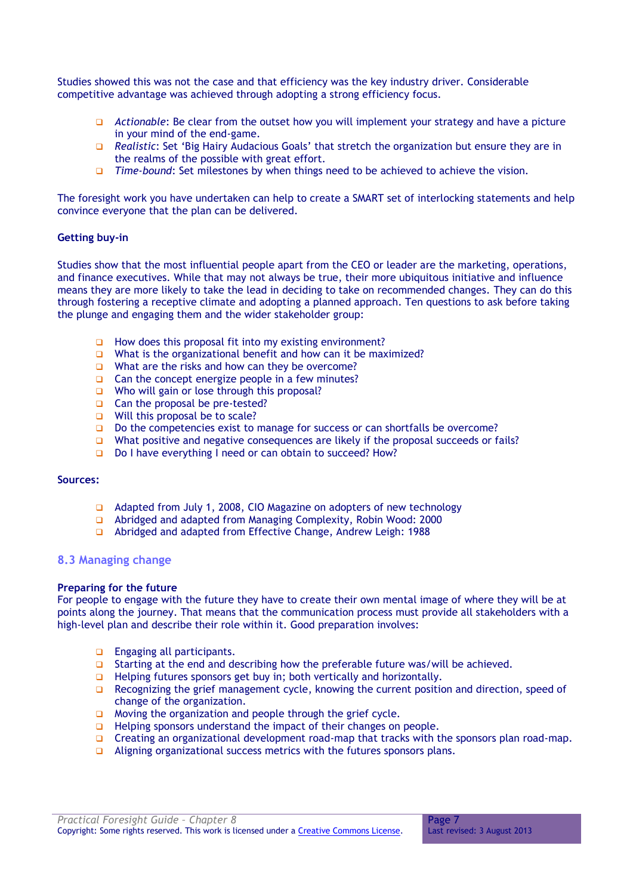Studies showed this was not the case and that efficiency was the key industry driver. Considerable competitive advantage was achieved through adopting a strong efficiency focus.

- *Actionable*: Be clear from the outset how you will implement your strategy and have a picture in your mind of the end-game.
- *Realistic*: Set 'Big Hairy Audacious Goals' that stretch the organization but ensure they are in the realms of the possible with great effort.
- *Time-bound*: Set milestones by when things need to be achieved to achieve the vision.

The foresight work you have undertaken can help to create a SMART set of interlocking statements and help convince everyone that the plan can be delivered.

#### **Getting buy-in**

Studies show that the most influential people apart from the CEO or leader are the marketing, operations, and finance executives. While that may not always be true, their more ubiquitous initiative and influence means they are more likely to take the lead in deciding to take on recommended changes. They can do this through fostering a receptive climate and adopting a planned approach. Ten questions to ask before taking the plunge and engaging them and the wider stakeholder group:

- $\Box$  How does this proposal fit into my existing environment?
- What is the organizational benefit and how can it be maximized?
- What are the risks and how can they be overcome?
- $\Box$  Can the concept energize people in a few minutes?
- $\Box$  Who will gain or lose through this proposal?
- Can the proposal be pre-tested?
- Will this proposal be to scale?
- $\Box$  Do the competencies exist to manage for success or can shortfalls be overcome?
- What positive and negative consequences are likely if the proposal succeeds or fails?
- Do I have everything I need or can obtain to succeed? How?

#### **Sources:**

- □ Adapted from July 1, 2008, CIO Magazine on adopters of new technology
- Abridged and adapted from Managing Complexity, Robin Wood: 2000
- Abridged and adapted from Effective Change, Andrew Leigh: 1988

#### <span id="page-6-0"></span>**8.3 Managing change**

#### **Preparing for the future**

For people to engage with the future they have to create their own mental image of where they will be at points along the journey. That means that the communication process must provide all stakeholders with a high-level plan and describe their role within it. Good preparation involves:

- **Engaging all participants.**
- Starting at the end and describing how the preferable future was/will be achieved.
- $\Box$  Helping futures sponsors get buy in; both vertically and horizontally.
- **Q** Recognizing the grief management cycle, knowing the current position and direction, speed of change of the organization.
- $\Box$  Moving the organization and people through the grief cycle.
- $\Box$  Helping sponsors understand the impact of their changes on people.
- $\Box$  Creating an organizational development road-map that tracks with the sponsors plan road-map.
- Aligning organizational success metrics with the futures sponsors plans.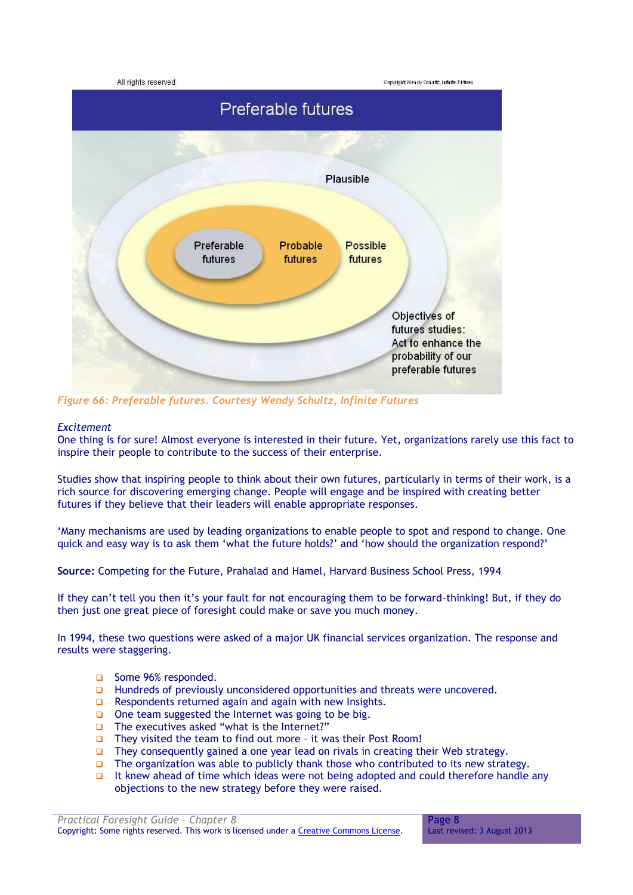

*Figure 66: Preferable futures. Courtesy Wendy Schultz, Infinite Futures*

# *Excitement*

One thing is for sure! Almost everyone is interested in their future. Yet, organizations rarely use this fact to inspire their people to contribute to the success of their enterprise.

Studies show that inspiring people to think about their own futures, particularly in terms of their work, is a rich source for discovering emerging change. People will engage and be inspired with creating better futures if they believe that their leaders will enable appropriate responses.

'Many mechanisms are used by leading organizations to enable people to spot and respond to change. One quick and easy way is to ask them 'what the future holds?' and 'how should the organization respond?'

**Source:** Competing for the Future, Prahalad and Hamel, Harvard Business School Press, 1994

If they can't tell you then it's your fault for not encouraging them to be forward-thinking! But, if they do then just one great piece of foresight could make or save you much money.

In 1994, these two questions were asked of a major UK financial services organization. The response and results were staggering.

- Some 96% responded.
- **Hundreds of previously unconsidered opportunities and threats were uncovered.**
- $\Box$  Respondents returned again and again with new Insights.
- $\Box$  One team suggested the Internet was going to be big.
- □ The executives asked "what is the Internet?"
- □ They visited the team to find out more it was their Post Room!
- $\Box$  They consequently gained a one year lead on rivals in creating their Web strategy.
- The organization was able to publicly thank those who contributed to its new strategy.
- It knew ahead of time which ideas were not being adopted and could therefore handle any objections to the new strategy before they were raised.

*Practical Foresight Guide – Chapter 8* Copyright: Some rights reserved. This work is licensed under a Creative Commons License.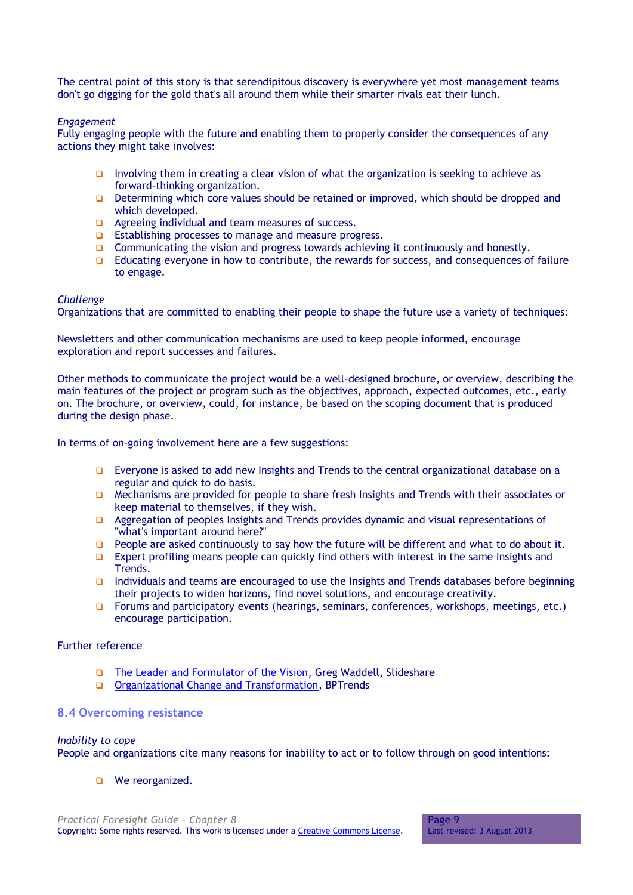The central point of this story is that serendipitous discovery is everywhere yet most management teams don't go digging for the gold that's all around them while their smarter rivals eat their lunch.

#### *Engagement*

Fully engaging people with the future and enabling them to properly consider the consequences of any actions they might take involves:

- Involving them in creating a clear vision of what the organization is seeking to achieve as forward-thinking organization.
- Determining which core values should be retained or improved, which should be dropped and which developed.
- **Q** Agreeing individual and team measures of success.
- $\Box$  Establishing processes to manage and measure progress.
- Communicating the vision and progress towards achieving it continuously and honestly.
- Educating everyone in how to contribute, the rewards for success, and consequences of failure to engage.

#### *Challenge*

Organizations that are committed to enabling their people to shape the future use a variety of techniques:

Newsletters and other communication mechanisms are used to keep people informed, encourage exploration and report successes and failures.

Other methods to communicate the project would be a well-designed brochure, or overview, describing the main features of the project or program such as the objectives, approach, expected outcomes, etc., early on. The brochure, or overview, could, for instance, be based on the scoping document that is produced during the design phase.

In terms of on-going involvement here are a few suggestions:

- □ Everyone is asked to add new Insights and Trends to the central organizational database on a regular and quick to do basis.
- $\Box$  Mechanisms are provided for people to share fresh Insights and Trends with their associates or keep material to themselves, if they wish.
- Aggregation of peoples Insights and Trends provides dynamic and visual representations of "what's important around here?"
- **People are asked continuously to say how the future will be different and what to do about it.**
- **Expert profiling means people can quickly find others with interest in the same Insights and** Trends.
- Individuals and teams are encouraged to use the Insights and Trends databases before beginning their projects to widen horizons, find novel solutions, and encourage creativity.
- □ Forums and participatory events (hearings, seminars, conferences, workshops, meetings, etc.) encourage participation.

# Further reference

- □ [The Leader and Formulator of the Vision,](http://public.slideshare.net/Gregwad/leader-as-agent-of-vision/) Greg Waddell, Slideshare
- **Q** [Organizational Change and Transformation,](http://www.businessprocesstrends.com/publicationfiles/spotlight_06222010.pdf) BPTrends

# <span id="page-8-0"></span>**8.4 Overcoming resistance**

# *Inability to cope*

People and organizations cite many reasons for inability to act or to follow through on good intentions:

**D** We reorganized.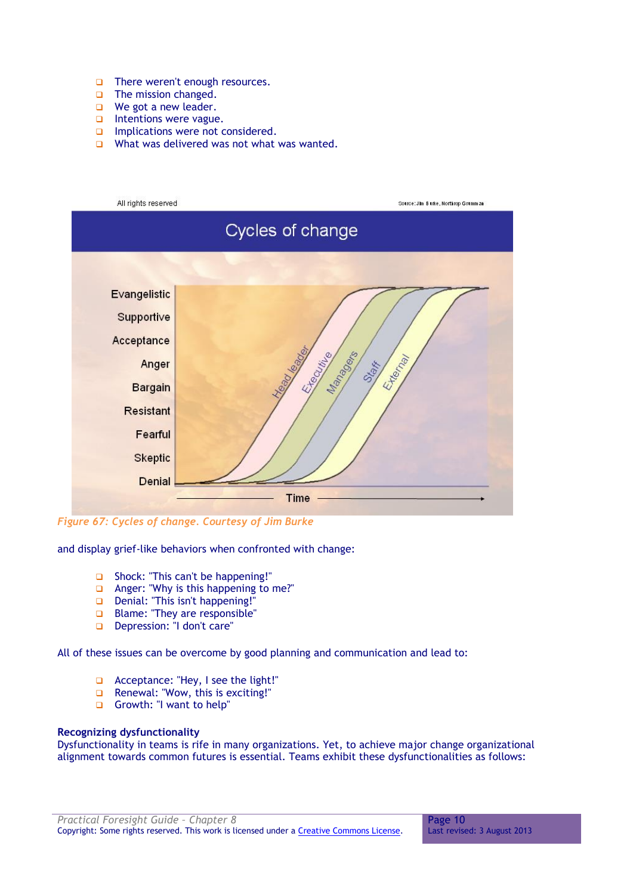- □ There weren't enough resources.
- **D** The mission changed.
- $\Box$  We got a new leader.
- $\Box$  Intentions were vague.
- $\Box$  Implications were not considered.
- $\Box$  What was delivered was not what was wanted.

| All rights reserved | Source: Jim Burke, Northrop Grumman |  |  |  |  |  |  |
|---------------------|-------------------------------------|--|--|--|--|--|--|
| Cycles of change    |                                     |  |  |  |  |  |  |
|                     |                                     |  |  |  |  |  |  |
| Evangelistic        |                                     |  |  |  |  |  |  |
| Supportive          |                                     |  |  |  |  |  |  |
| Acceptance          |                                     |  |  |  |  |  |  |
| Anger               | Manufacture of<br>External<br>Staff |  |  |  |  |  |  |
| <b>Bargain</b>      |                                     |  |  |  |  |  |  |
| <b>Resistant</b>    |                                     |  |  |  |  |  |  |
| Fearful             |                                     |  |  |  |  |  |  |
| <b>Skeptic</b>      |                                     |  |  |  |  |  |  |
| <b>Denial</b>       |                                     |  |  |  |  |  |  |
|                     | <b>Time</b>                         |  |  |  |  |  |  |

*Figure 67: Cycles of change. Courtesy of Jim Burke*

and display grief-like behaviors when confronted with change:

- □ Shock: "This can't be happening!"
- Anger: "Why is this happening to me?"
- Denial: "This isn't happening!"
- **Blame: "They are responsible"**
- Depression: "I don't care"

All of these issues can be overcome by good planning and communication and lead to:

- Acceptance: "Hey, I see the light!"
- Renewal: "Wow, this is exciting!"
- Growth: "I want to help"

#### **Recognizing dysfunctionality**

Dysfunctionality in teams is rife in many organizations. Yet, to achieve major change organizational alignment towards common futures is essential. Teams exhibit these dysfunctionalities as follows: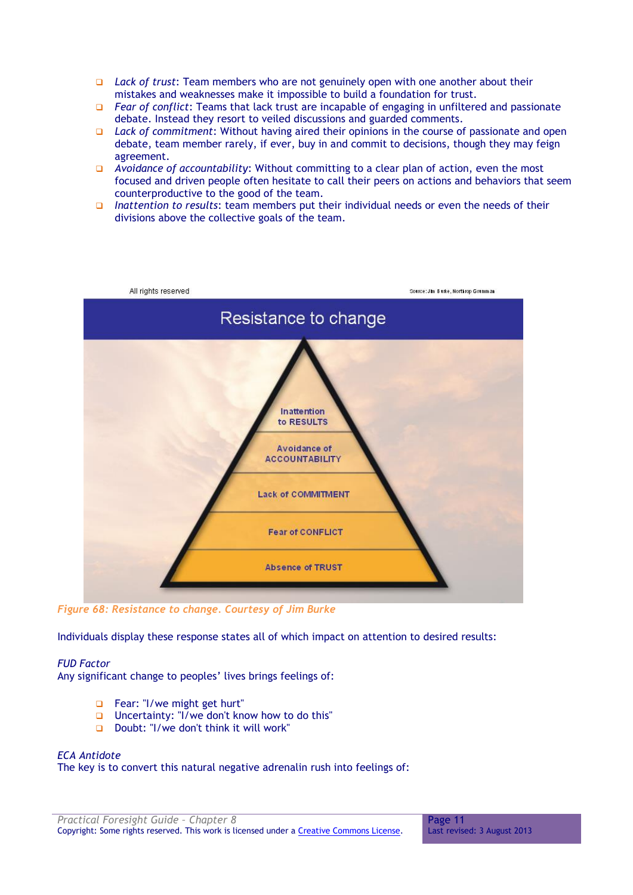- *Lack of trust*: Team members who are not genuinely open with one another about their mistakes and weaknesses make it impossible to build a foundation for trust.
- *Fear of conflict*: Teams that lack trust are incapable of engaging in unfiltered and passionate debate. Instead they resort to veiled discussions and guarded comments.
- *Lack of commitment*: Without having aired their opinions in the course of passionate and open debate, team member rarely, if ever, buy in and commit to decisions, though they may feign agreement.
- *Avoidance of accountability*: Without committing to a clear plan of action, even the most focused and driven people often hesitate to call their peers on actions and behaviors that seem counterproductive to the good of the team.
- *Inattention to results*: team members put their individual needs or even the needs of their divisions above the collective goals of the team.



*Figure 68: Resistance to change. Courtesy of Jim Burke*

Individuals display these response states all of which impact on attention to desired results:

# *FUD Factor*

Any significant change to peoples' lives brings feelings of:

- Fear: "I/we might get hurt"
- **Uncertainty:** "I/we don't know how to do this"
- Doubt: "I/we don't think it will work"

#### *ECA Antidote*

The key is to convert this natural negative adrenalin rush into feelings of:

Page 11 Last revised: 3 August 2013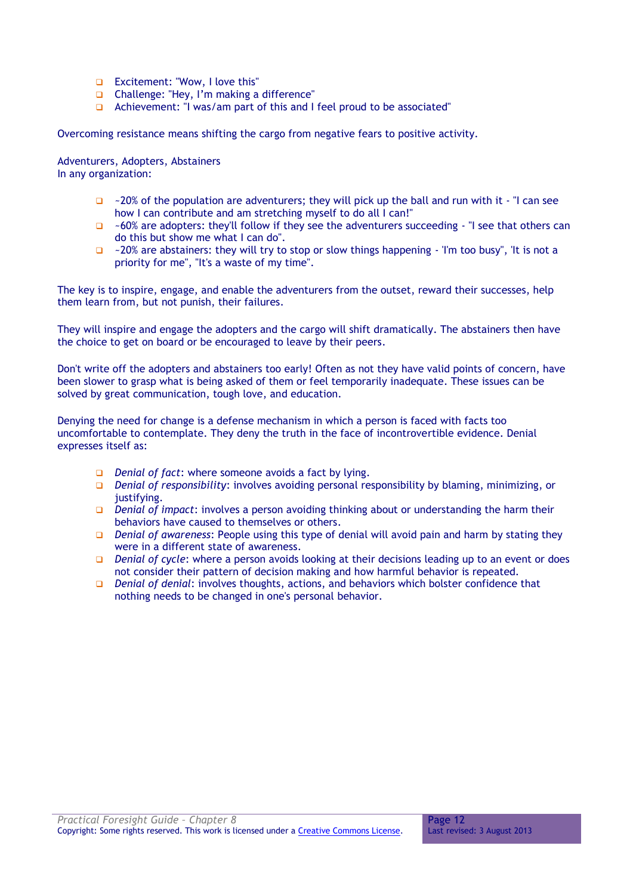- **Excitement: "Wow, I love this"**
- Challenge: "Hey, I'm making a difference"
- Achievement: "I was/am part of this and I feel proud to be associated"

Overcoming resistance means shifting the cargo from negative fears to positive activity.

Adventurers, Adopters, Abstainers In any organization:

- $\Box$  ~20% of the population are adventurers; they will pick up the ball and run with it "I can see how I can contribute and am stretching myself to do all I can!"
- $\Box$  ~60% are adopters: they'll follow if they see the adventurers succeeding "I see that others can do this but show me what I can do".
- $\Box$  ~20% are abstainers: they will try to stop or slow things happening 'I'm too busy", 'It is not a priority for me", "It's a waste of my time".

The key is to inspire, engage, and enable the adventurers from the outset, reward their successes, help them learn from, but not punish, their failures.

They will inspire and engage the adopters and the cargo will shift dramatically. The abstainers then have the choice to get on board or be encouraged to leave by their peers.

Don't write off the adopters and abstainers too early! Often as not they have valid points of concern, have been slower to grasp what is being asked of them or feel temporarily inadequate. These issues can be solved by great communication, tough love, and education.

Denying the need for change is a defense mechanism in which a person is faced with facts too uncomfortable to contemplate. They deny the truth in the face of incontrovertible evidence. Denial expresses itself as:

- *Denial of fact*: where someone avoids a fact by lying.
- *Denial of responsibility*: involves avoiding personal responsibility by blaming, minimizing, or justifying.
- *Denial of impact*: involves a person avoiding thinking about or understanding the harm their behaviors have caused to themselves or others.
- *Denial of awareness*: People using this type of denial will avoid pain and harm by stating they were in a different state of awareness.
- *Denial of cycle*: where a person avoids looking at their decisions leading up to an event or does not consider their pattern of decision making and how harmful behavior is repeated.
- *Denial of denial*: involves thoughts, actions, and behaviors which bolster confidence that nothing needs to be changed in one's personal behavior.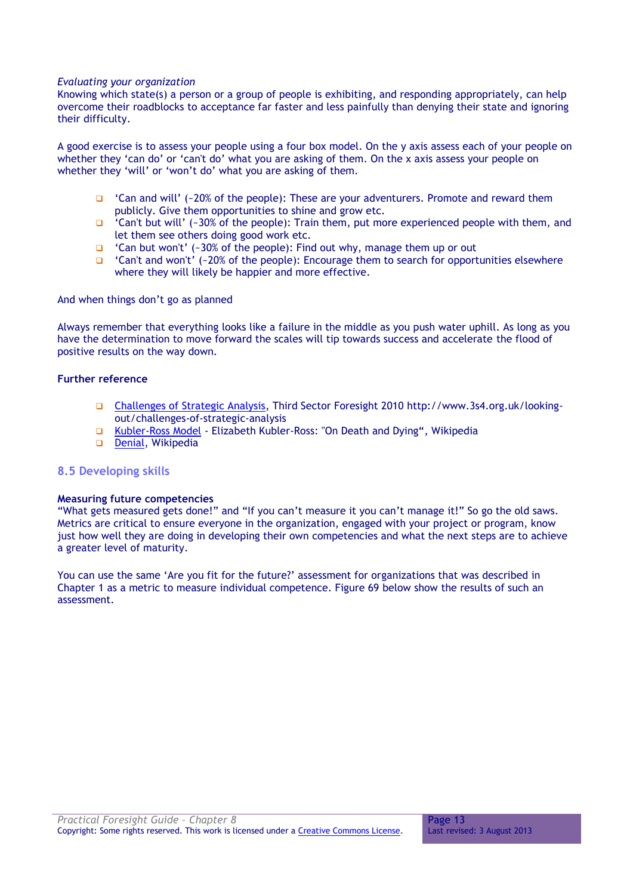#### *Evaluating your organization*

Knowing which state(s) a person or a group of people is exhibiting, and responding appropriately, can help overcome their roadblocks to acceptance far faster and less painfully than denying their state and ignoring their difficulty.

A good exercise is to assess your people using a four box model. On the y axis assess each of your people on whether they 'can do' or 'can't do' what you are asking of them. On the x axis assess your people on whether they 'will' or 'won't do' what you are asking of them.

- $\Box$  'Can and will' (~20% of the people): These are your adventurers. Promote and reward them publicly. Give them opportunities to shine and grow etc.
- $\Box$  'Can't but will' (~30% of the people): Train them, put more experienced people with them, and let them see others doing good work etc.
- $\Box$  'Can but won't' (~30% of the people): Find out why, manage them up or out
- $\Box$  'Can't and won't' (~20% of the people): Encourage them to search for opportunities elsewhere where they will likely be happier and more effective.

And when things don't go as planned

Always remember that everything looks like a failure in the middle as you push water uphill. As long as you have the determination to move forward the scales will tip towards success and accelerate the flood of positive results on the way down.

# **Further reference**

- [Challenges of Strategic Analysis,](http://www.3s4.org.uk/start/challenges-of-strategic-analysis) Third Sector Foresight 2010 http://www.3s4.org.uk/lookingout/challenges-of-strategic-analysis
- [Kubler-Ross Model](http://en.wikipedia.org/wiki/K%C3%BCbler-Ross_model) Elizabeth Kubler-Ross: "On Death and Dying", Wikipedia
- [Denial,](http://en.wikipedia.org/wiki/Denial) Wikipedia

#### <span id="page-12-0"></span>**8.5 Developing skills**

#### **Measuring future competencies**

"What gets measured gets done!" and "If you can't measure it you can't manage it!" So go the old saws. Metrics are critical to ensure everyone in the organization, engaged with your project or program, know just how well they are doing in developing their own competencies and what the next steps are to achieve a greater level of maturity.

You can use the same 'Are you fit for the future?' assessment for organizations that was described in Chapter 1 as a metric to measure individual competence. Figure 69 below show the results of such an assessment.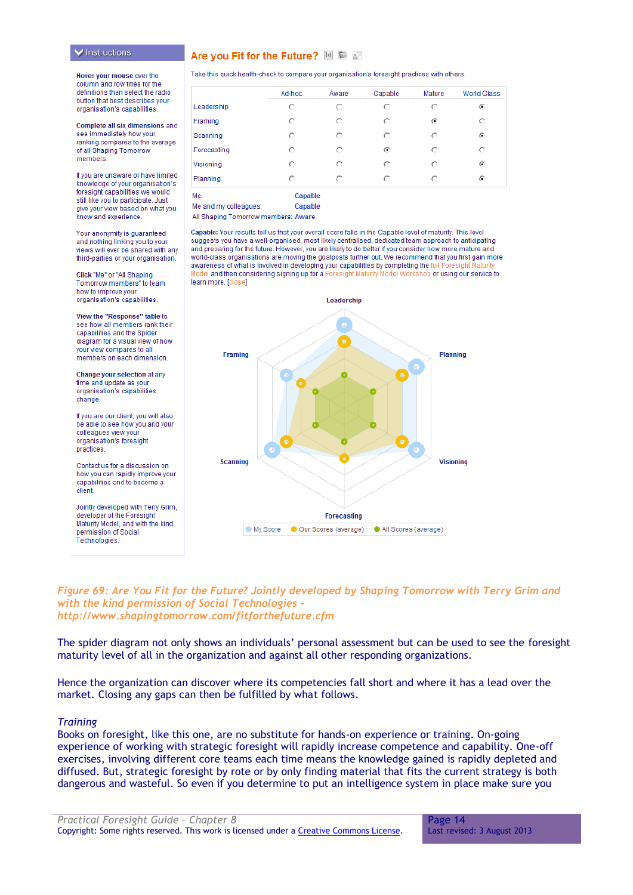#### **▼** Instructions

#### Are you Fit for the Future? **Is E**

Hover your mouse over the column and row titles for the definitions then select the radio button that best describes your organisation's capabilities.

Complete all six dimensions and see immediately how your ranking compares to the average of all Shaping Tomorrow members

If you are unaware or have limited knowledge of your organisation's foresight capabilities we would still like you to participate. Just give your view based on what you know and experience.

Your anonymity is quaranteed and nothing linking you to your views will ever be shared with any third-parties or your organisation.

Click "Me" or "All Shaping Tomorrow members" to learn how to improve your organisation's capabilities.

View the "Response" table to see how all members rank their capabilities and the Spider diagram for a visual view of how your view compares to all members on each dimension

Change your selection at any time and update as your organisation's capabilities change

If you are our client, you will also be able to see how you and your colleagues view your organisation's foresight practices.

Contact us for a discussion on how you can rapidly improve your capabilities and to become a client.

Jointly developed with Terry Grim, developer of the Foresight Maturity Model, and with the kind permission of Social Technologies.

|  |  |  | Take this quick health-check to compare your organisation's foresight practices with others |  |  |
|--|--|--|---------------------------------------------------------------------------------------------|--|--|
|  |  |  |                                                                                             |  |  |

|             | Ad-hoc | Aware | Capable | Mature | <b>World Class</b> |
|-------------|--------|-------|---------|--------|--------------------|
| Leadership  |        | О     | О       |        | O                  |
| Framing     | O      | О     | О       | €      | O                  |
| Scanning    | О      | О     | O       | с      | ⊙                  |
| Forecasting | О      | O     | ⊙       | О      | О                  |
| Visioning   | O      | О     | О       | O      | O                  |
| Planning    |        | O     | О       |        | O                  |

Capable Me and my colleagues: Capable

Me

All Shaping Tomorrow members: Aware

Capable: Your results tell us that your overall score falls in the Capable level of maturity. This level suggests you have a well-organised, most likely centralised, dedicated team approach to anticipating and preparing for the future. However, you are likely to do better if you consider how more mature and world-class organisations are moving the goalposts further out. We recommend that you first gain more awareness of what is involved in developing your capabilities by completing the full Foresight Maturi Model and then considering signing up for a Foresight Maturity Model Workshop or using our service to learn more. [close]



#### *Figure 69: Are You Fit for the Future? Jointly developed by Shaping Tomorrow with Terry Grim and with the kind permission of Social Technologies <http://www.shapingtomorrow.com/fitforthefuture.cfm>*

The spider diagram not only shows an individuals' personal assessment but can be used to see the foresight maturity level of all in the organization and against all other responding organizations.

Hence the organization can discover where its competencies fall short and where it has a lead over the market. Closing any gaps can then be fulfilled by what follows.

#### *Training*

Books on foresight, like this one, are no substitute for hands-on experience or training. On-going experience of working with strategic foresight will rapidly increase competence and capability. One-off exercises, involving different core teams each time means the knowledge gained is rapidly depleted and diffused. But, strategic foresight by rote or by only finding material that fits the current strategy is both dangerous and wasteful. So even if you determine to put an intelligence system in place make sure you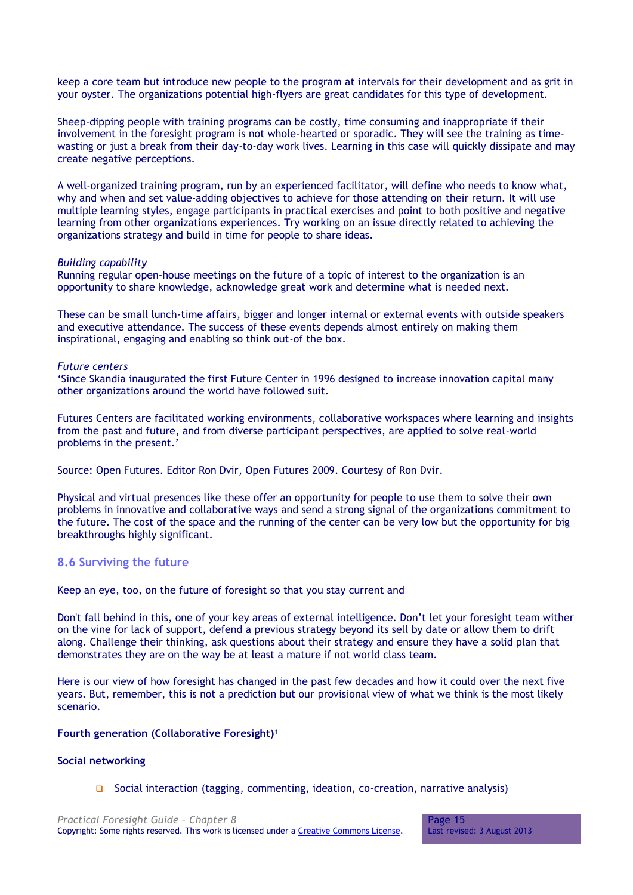keep a core team but introduce new people to the program at intervals for their development and as grit in your oyster. The organizations potential high-flyers are great candidates for this type of development.

Sheep-dipping people with training programs can be costly, time consuming and inappropriate if their involvement in the foresight program is not whole-hearted or sporadic. They will see the training as timewasting or just a break from their day-to-day work lives. Learning in this case will quickly dissipate and may create negative perceptions.

A well-organized training program, run by an experienced facilitator, will define who needs to know what, why and when and set value-adding objectives to achieve for those attending on their return. It will use multiple learning styles, engage participants in practical exercises and point to both positive and negative learning from other organizations experiences. Try working on an issue directly related to achieving the organizations strategy and build in time for people to share ideas.

#### *Building capability*

Running regular open-house meetings on the future of a topic of interest to the organization is an opportunity to share knowledge, acknowledge great work and determine what is needed next.

These can be small lunch-time affairs, bigger and longer internal or external events with outside speakers and executive attendance. The success of these events depends almost entirely on making them inspirational, engaging and enabling so think out-of the box.

#### *Future centers*

'Since Skandia inaugurated the first Future Center in 1996 designed to increase innovation capital many other organizations around the world have followed suit.

Futures Centers are facilitated working environments, collaborative workspaces where learning and insights from the past and future, and from diverse participant perspectives, are applied to solve real-world problems in the present.'

Source: Open Futures. Editor Ron Dvir, Open Futures 2009. Courtesy of Ron Dvir.

Physical and virtual presences like these offer an opportunity for people to use them to solve their own problems in innovative and collaborative ways and send a strong signal of the organizations commitment to the future. The cost of the space and the running of the center can be very low but the opportunity for big breakthroughs highly significant.

#### <span id="page-14-0"></span>**8.6 Surviving the future**

Keep an eye, too, on the future of foresight so that you stay current and

Don't fall behind in this, one of your key areas of external intelligence. Don't let your foresight team wither on the vine for lack of support, defend a previous strategy beyond its sell by date or allow them to drift along. Challenge their thinking, ask questions about their strategy and ensure they have a solid plan that demonstrates they are on the way be at least a mature if not world class team.

Here is our view of how foresight has changed in the past few decades and how it could over the next five years. But, remember, this is not a prediction but our provisional view of what we think is the most likely scenario.

#### **Fourth generation (Collaborative Foresight)<sup>1</sup>**

#### **Social networking**

Social interaction (tagging, commenting, ideation, co-creation, narrative analysis)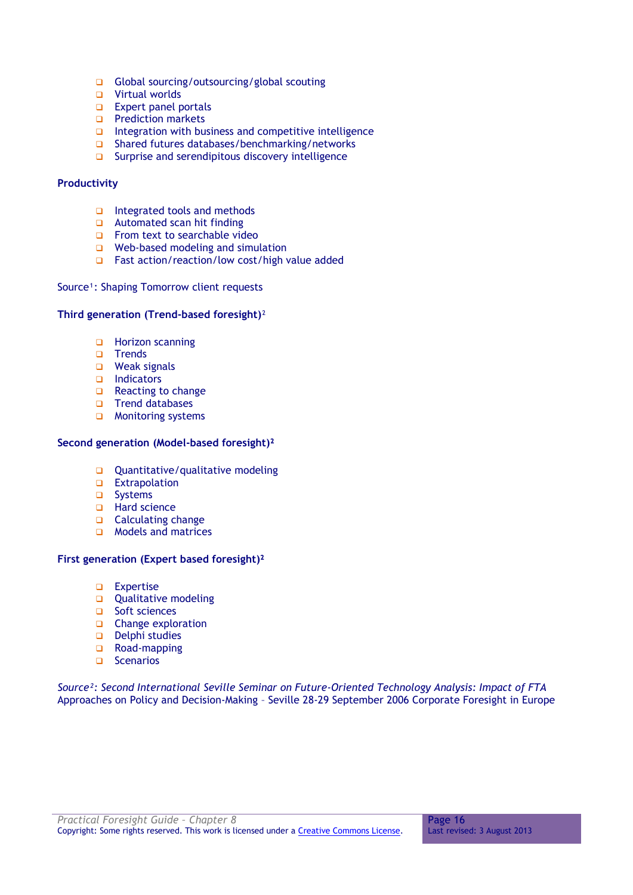- Global sourcing/outsourcing/global scouting
- Virtual worlds
- $\Box$  Expert panel portals
- **Prediction markets**
- $\Box$  Integration with business and competitive intelligence
- □ Shared futures databases/benchmarking/networks
- □ Surprise and serendipitous discovery intelligence

#### **Productivity**

- $\Box$  Integrated tools and methods
- **Q** Automated scan hit finding
- From text to searchable video
- $\Box$  Web-based modeling and simulation
- $\Box$  Fast action/reaction/low cost/high value added

# Source<sup>1</sup>: Shaping Tomorrow client requests

# **Third generation (Trend-based foresight)**²

- **Horizon scanning**
- □ Trends
- □ Weak signals
- Indicators
- □ Reacting to change
- Trend databases
- **D** Monitoring systems

#### **Second generation (Model-based foresight)²**

- Quantitative/qualitative modeling
- **Extrapolation**
- **u** Systems
- □ Hard science
- Calculating change
- **D** Models and matrices

# **First generation (Expert based foresight)²**

- **D** Expertise
- Qualitative modeling
- □ Soft sciences
- **Q** Change exploration
- $\Box$  Delphi studies
- □ Road-mapping
- $\Box$  Scenarios

*Source²: Second International Seville Seminar on Future-Oriented Technology Analysis: Impact of FTA*  Approaches on Policy and Decision-Making – Seville 28-29 September 2006 Corporate Foresight in Europe